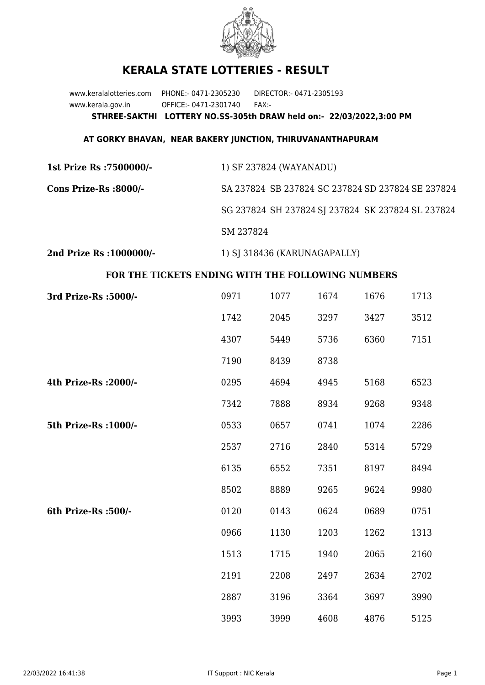

## **KERALA STATE LOTTERIES - RESULT**

www.keralalotteries.com PHONE:- 0471-2305230 DIRECTOR:- 0471-2305193 www.kerala.gov.in OFFICE:- 0471-2301740 FAX:- **STHREE-SAKTHI LOTTERY NO.SS-305th DRAW held on:- 22/03/2022,3:00 PM**

## **AT GORKY BHAVAN, NEAR BAKERY JUNCTION, THIRUVANANTHAPURAM**

| 1st Prize Rs :7500000/- | 1) SF 237824 (WAYANADU)                           |  |  |
|-------------------------|---------------------------------------------------|--|--|
| Cons Prize-Rs :8000/-   | SA 237824 SB 237824 SC 237824 SD 237824 SE 237824 |  |  |
|                         | SG 237824 SH 237824 SJ 237824 SK 237824 SL 237824 |  |  |
|                         | SM 237824                                         |  |  |
|                         |                                                   |  |  |

**2nd Prize Rs :1000000/-** 1) SJ 318436 (KARUNAGAPALLY)

## **FOR THE TICKETS ENDING WITH THE FOLLOWING NUMBERS**

| 3rd Prize-Rs : 5000/- | 0971 | 1077 | 1674 | 1676 | 1713 |
|-----------------------|------|------|------|------|------|
|                       | 1742 | 2045 | 3297 | 3427 | 3512 |
|                       | 4307 | 5449 | 5736 | 6360 | 7151 |
|                       | 7190 | 8439 | 8738 |      |      |
| 4th Prize-Rs : 2000/- | 0295 | 4694 | 4945 | 5168 | 6523 |
|                       | 7342 | 7888 | 8934 | 9268 | 9348 |
| 5th Prize-Rs : 1000/- | 0533 | 0657 | 0741 | 1074 | 2286 |
|                       | 2537 | 2716 | 2840 | 5314 | 5729 |
|                       | 6135 | 6552 | 7351 | 8197 | 8494 |
|                       | 8502 | 8889 | 9265 | 9624 | 9980 |
| 6th Prize-Rs :500/-   | 0120 | 0143 | 0624 | 0689 | 0751 |
|                       | 0966 | 1130 | 1203 | 1262 | 1313 |
|                       | 1513 | 1715 | 1940 | 2065 | 2160 |
|                       | 2191 | 2208 | 2497 | 2634 | 2702 |
|                       | 2887 | 3196 | 3364 | 3697 | 3990 |
|                       | 3993 | 3999 | 4608 | 4876 | 5125 |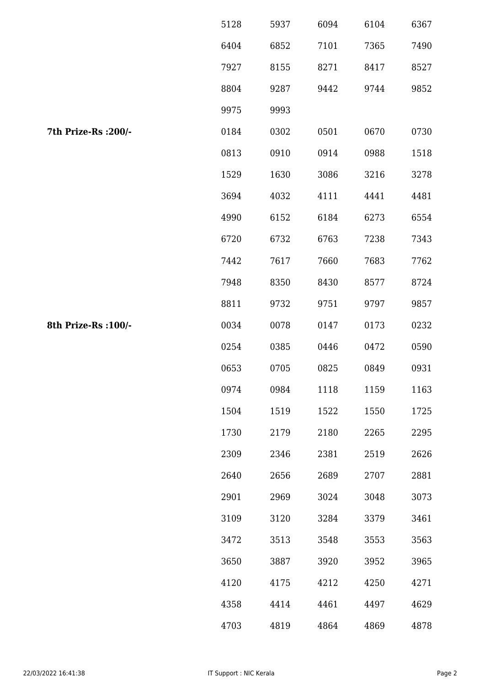|                      | 5128 | 5937 | 6094 | 6104 | 6367 |
|----------------------|------|------|------|------|------|
|                      | 6404 | 6852 | 7101 | 7365 | 7490 |
|                      | 7927 | 8155 | 8271 | 8417 | 8527 |
|                      | 8804 | 9287 | 9442 | 9744 | 9852 |
|                      | 9975 | 9993 |      |      |      |
| 7th Prize-Rs : 200/- | 0184 | 0302 | 0501 | 0670 | 0730 |
|                      | 0813 | 0910 | 0914 | 0988 | 1518 |
|                      | 1529 | 1630 | 3086 | 3216 | 3278 |
|                      | 3694 | 4032 | 4111 | 4441 | 4481 |
|                      | 4990 | 6152 | 6184 | 6273 | 6554 |
|                      | 6720 | 6732 | 6763 | 7238 | 7343 |
|                      | 7442 | 7617 | 7660 | 7683 | 7762 |
|                      | 7948 | 8350 | 8430 | 8577 | 8724 |
|                      | 8811 | 9732 | 9751 | 9797 | 9857 |
| 8th Prize-Rs : 100/- | 0034 | 0078 | 0147 | 0173 | 0232 |
|                      | 0254 | 0385 | 0446 | 0472 | 0590 |
|                      | 0653 | 0705 | 0825 | 0849 | 0931 |
|                      | 0974 | 0984 | 1118 | 1159 | 1163 |
|                      | 1504 | 1519 | 1522 | 1550 | 1725 |
|                      | 1730 | 2179 | 2180 | 2265 | 2295 |
|                      | 2309 | 2346 | 2381 | 2519 | 2626 |
|                      | 2640 | 2656 | 2689 | 2707 | 2881 |
|                      | 2901 | 2969 | 3024 | 3048 | 3073 |
|                      | 3109 | 3120 | 3284 | 3379 | 3461 |
|                      | 3472 | 3513 | 3548 | 3553 | 3563 |
|                      | 3650 | 3887 | 3920 | 3952 | 3965 |
|                      | 4120 | 4175 | 4212 | 4250 | 4271 |
|                      | 4358 | 4414 | 4461 | 4497 | 4629 |
|                      | 4703 | 4819 | 4864 | 4869 | 4878 |